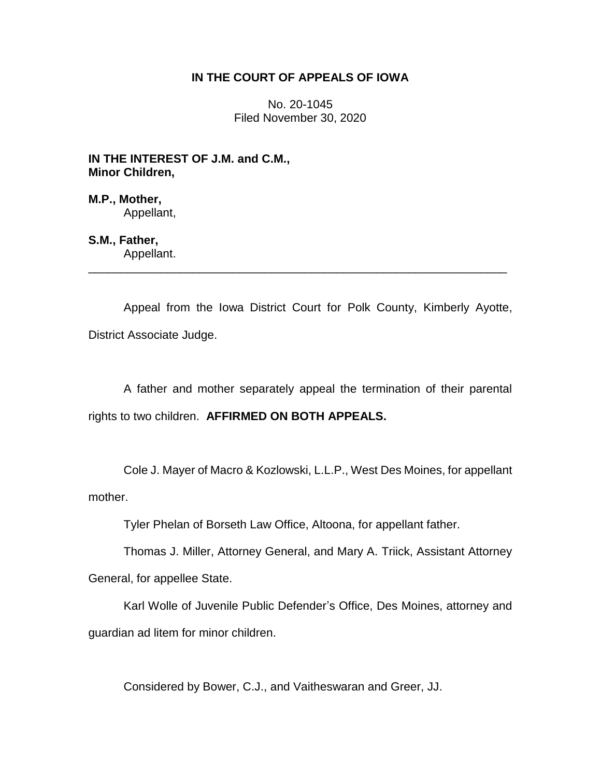## **IN THE COURT OF APPEALS OF IOWA**

No. 20-1045 Filed November 30, 2020

**IN THE INTEREST OF J.M. and C.M., Minor Children,**

**M.P., Mother,** Appellant,

**S.M., Father,**

Appellant. \_\_\_\_\_\_\_\_\_\_\_\_\_\_\_\_\_\_\_\_\_\_\_\_\_\_\_\_\_\_\_\_\_\_\_\_\_\_\_\_\_\_\_\_\_\_\_\_\_\_\_\_\_\_\_\_\_\_\_\_\_\_\_\_

Appeal from the Iowa District Court for Polk County, Kimberly Ayotte, District Associate Judge.

A father and mother separately appeal the termination of their parental rights to two children. **AFFIRMED ON BOTH APPEALS.**

Cole J. Mayer of Macro & Kozlowski, L.L.P., West Des Moines, for appellant mother.

Tyler Phelan of Borseth Law Office, Altoona, for appellant father.

Thomas J. Miller, Attorney General, and Mary A. Triick, Assistant Attorney

General, for appellee State.

Karl Wolle of Juvenile Public Defender's Office, Des Moines, attorney and guardian ad litem for minor children.

Considered by Bower, C.J., and Vaitheswaran and Greer, JJ.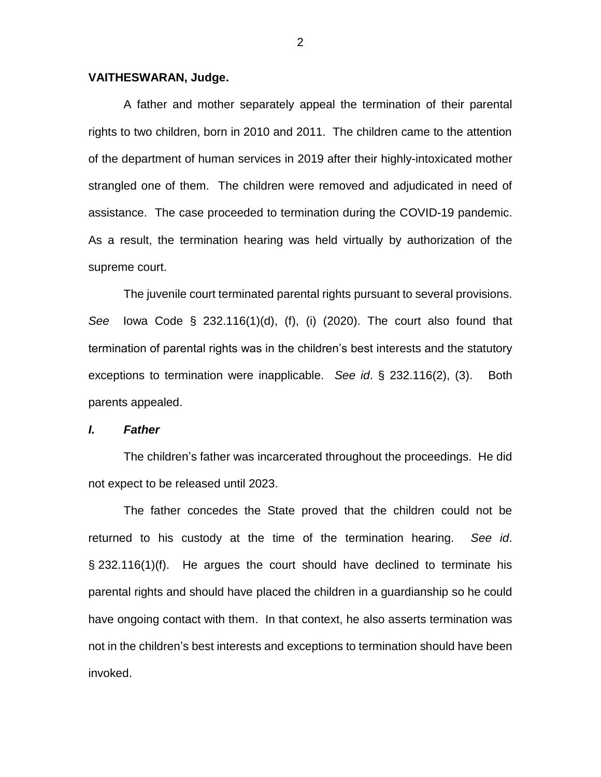## **VAITHESWARAN, Judge.**

A father and mother separately appeal the termination of their parental rights to two children, born in 2010 and 2011. The children came to the attention of the department of human services in 2019 after their highly-intoxicated mother strangled one of them. The children were removed and adjudicated in need of assistance. The case proceeded to termination during the COVID-19 pandemic. As a result, the termination hearing was held virtually by authorization of the supreme court.

The juvenile court terminated parental rights pursuant to several provisions. *See* Iowa Code § 232.116(1)(d), (f), (i) (2020). The court also found that termination of parental rights was in the children's best interests and the statutory exceptions to termination were inapplicable. *See id*. § 232.116(2), (3). Both parents appealed.

## *I. Father*

The children's father was incarcerated throughout the proceedings. He did not expect to be released until 2023.

The father concedes the State proved that the children could not be returned to his custody at the time of the termination hearing. *See id*. § 232.116(1)(f). He argues the court should have declined to terminate his parental rights and should have placed the children in a guardianship so he could have ongoing contact with them. In that context, he also asserts termination was not in the children's best interests and exceptions to termination should have been invoked.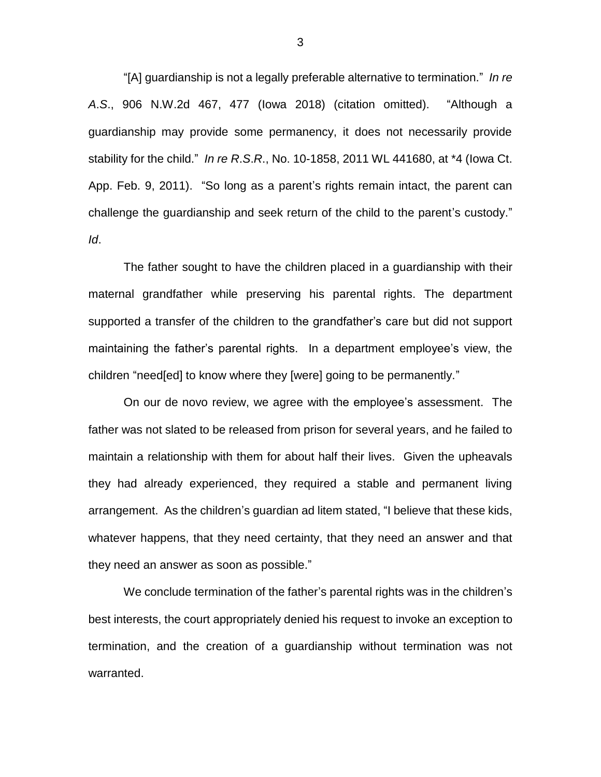"[A] guardianship is not a legally preferable alternative to termination." *In re A*.*S*., 906 N.W.2d 467, 477 (Iowa 2018) (citation omitted). "Although a guardianship may provide some permanency, it does not necessarily provide stability for the child." *In re R*.*S*.*R*., No. 10-1858, 2011 WL 441680, at \*4 (Iowa Ct. App. Feb. 9, 2011). "So long as a parent's rights remain intact, the parent can challenge the guardianship and seek return of the child to the parent's custody." *Id*.

The father sought to have the children placed in a guardianship with their maternal grandfather while preserving his parental rights. The department supported a transfer of the children to the grandfather's care but did not support maintaining the father's parental rights. In a department employee's view, the children "need[ed] to know where they [were] going to be permanently."

On our de novo review, we agree with the employee's assessment. The father was not slated to be released from prison for several years, and he failed to maintain a relationship with them for about half their lives. Given the upheavals they had already experienced, they required a stable and permanent living arrangement. As the children's guardian ad litem stated, "I believe that these kids, whatever happens, that they need certainty, that they need an answer and that they need an answer as soon as possible."

We conclude termination of the father's parental rights was in the children's best interests, the court appropriately denied his request to invoke an exception to termination, and the creation of a guardianship without termination was not warranted.

3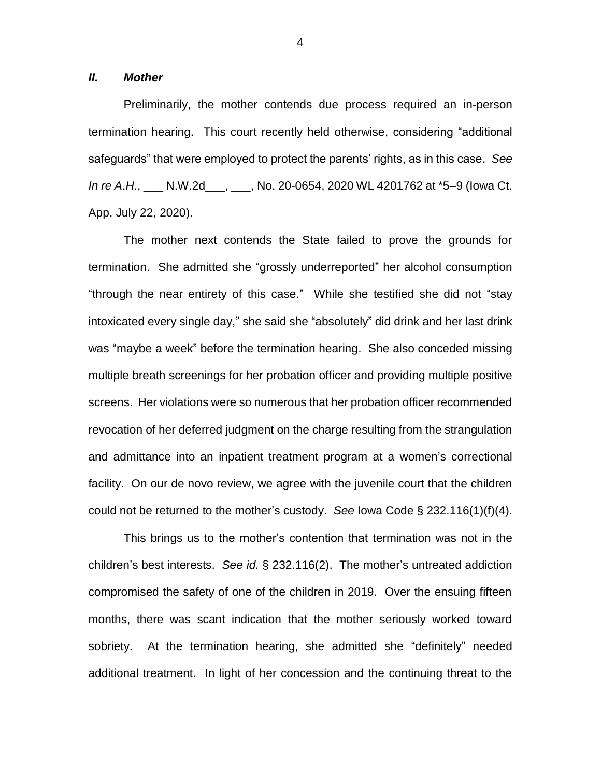*II. Mother*

Preliminarily, the mother contends due process required an in-person termination hearing. This court recently held otherwise, considering "additional safeguards" that were employed to protect the parents' rights, as in this case. *See In re A*.*H*., \_\_\_ N.W.2d\_\_\_, \_\_\_, No. 20-0654, 2020 WL 4201762 at \*5–9 (Iowa Ct. App. July 22, 2020).

The mother next contends the State failed to prove the grounds for termination. She admitted she "grossly underreported" her alcohol consumption "through the near entirety of this case." While she testified she did not "stay intoxicated every single day," she said she "absolutely" did drink and her last drink was "maybe a week" before the termination hearing. She also conceded missing multiple breath screenings for her probation officer and providing multiple positive screens. Her violations were so numerous that her probation officer recommended revocation of her deferred judgment on the charge resulting from the strangulation and admittance into an inpatient treatment program at a women's correctional facility. On our de novo review, we agree with the juvenile court that the children could not be returned to the mother's custody. *See* Iowa Code § 232.116(1)(f)(4).

This brings us to the mother's contention that termination was not in the children's best interests. *See id.* § 232.116(2). The mother's untreated addiction compromised the safety of one of the children in 2019. Over the ensuing fifteen months, there was scant indication that the mother seriously worked toward sobriety. At the termination hearing, she admitted she "definitely" needed additional treatment. In light of her concession and the continuing threat to the

4